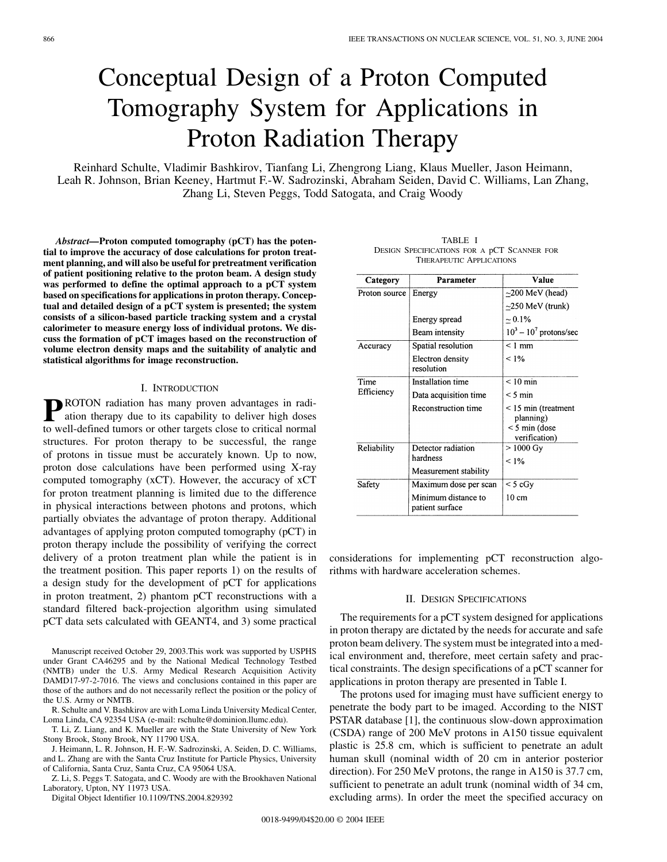# Conceptual Design of a Proton Computed Tomography System for Applications in Proton Radiation Therapy

Reinhard Schulte, Vladimir Bashkirov, Tianfang Li, Zhengrong Liang, Klaus Mueller, Jason Heimann, Leah R. Johnson, Brian Keeney, Hartmut F.-W. Sadrozinski, Abraham Seiden, David C. Williams, Lan Zhang, Zhang Li, Steven Peggs, Todd Satogata, and Craig Woody

*Abstract—***Proton computed tomography (pCT) has the potential to improve the accuracy of dose calculations for proton treatment planning, and will also be useful for pretreatment verification of patient positioning relative to the proton beam. A design study was performed to define the optimal approach to a pCT system based on specifications for applications in proton therapy. Conceptual and detailed design of a pCT system is presented; the system consists of a silicon-based particle tracking system and a crystal calorimeter to measure energy loss of individual protons. We discuss the formation of pCT images based on the reconstruction of volume electron density maps and the suitability of analytic and statistical algorithms for image reconstruction.**

## I. INTRODUCTION

**P**ROTON radiation has many proven advantages in radi-<br>ation therapy due to its capability to deliver high doses<br>to well defined tumors or other terests alone to exitial normal to well-defined tumors or other targets close to critical normal structures. For proton therapy to be successful, the range of protons in tissue must be accurately known. Up to now, proton dose calculations have been performed using X-ray computed tomography (xCT). However, the accuracy of xCT for proton treatment planning is limited due to the difference in physical interactions between photons and protons, which partially obviates the advantage of proton therapy. Additional advantages of applying proton computed tomography (pCT) in proton therapy include the possibility of verifying the correct delivery of a proton treatment plan while the patient is in the treatment position. This paper reports 1) on the results of a design study for the development of pCT for applications in proton treatment, 2) phantom pCT reconstructions with a standard filtered back-projection algorithm using simulated pCT data sets calculated with GEANT4, and 3) some practical

Manuscript received October 29, 2003.This work was supported by USPHS under Grant CA46295 and by the National Medical Technology Testbed (NMTB) under the U.S. Army Medical Research Acquisition Activity DAMD17-97-2-7016. The views and conclusions contained in this paper are those of the authors and do not necessarily reflect the position or the policy of the U.S. Army or NMTB.

R. Schulte and V. Bashkirov are with Loma Linda University Medical Center, Loma Linda, CA 92354 USA (e-mail: rschulte@dominion.llumc.edu).

T. Li, Z. Liang, and K. Mueller are with the State University of New York Stony Brook, Stony Brook, NY 11790 USA.

J. Heimann, L. R. Johnson, H. F.-W. Sadrozinski, A. Seiden, D. C. Williams, and L. Zhang are with the Santa Cruz Institute for Particle Physics, University of California, Santa Cruz, Santa Cruz, CA 95064 USA.

Z. Li, S. Peggs T. Satogata, and C. Woody are with the Brookhaven National Laboratory, Upton, NY 11973 USA.

Digital Object Identifier 10.1109/TNS.2004.829392

TABLE I DESIGN SPECIFICATIONS FOR A pCT SCANNER FOR THERAPEUTIC APPLICATIONS

| Category           | Parameter                              | Value                                                                  |
|--------------------|----------------------------------------|------------------------------------------------------------------------|
| Proton source      | Energy                                 | $\approx$ 200 MeV (head)                                               |
|                    |                                        | $\sim$ 250 MeV (trunk)                                                 |
|                    | Energy spread                          | $\sim 0.1\%$                                                           |
|                    | Beam intensity                         | $10^3 - 10^7$ protons/sec                                              |
| Accuracy           | Spatial resolution                     | $< 1$ mm                                                               |
|                    | Electron density<br>resolution         | < 1%                                                                   |
| Time<br>Efficiency | Installation time                      | $< 10$ min                                                             |
|                    | Data acquisition time                  | $< 5 \text{ min}$                                                      |
|                    | <b>Reconstruction time</b>             | $<$ 15 min (treatment<br>planning)<br>$<$ 5 min (dose<br>verification) |
| Reliability        | Detector radiation                     | $> 1000 \text{ Gy}$                                                    |
|                    | hardness                               | $< 1\%$                                                                |
|                    | Measurement stability                  |                                                                        |
| Safety             | Maximum dose per scan                  | < 5 cGy                                                                |
|                    | Minimum distance to<br>patient surface | 10 cm                                                                  |

considerations for implementing pCT reconstruction algorithms with hardware acceleration schemes.

# II. DESIGN SPECIFICATIONS

The requirements for a pCT system designed for applications in proton therapy are dictated by the needs for accurate and safe proton beam delivery. The system must be integrated into a medical environment and, therefore, meet certain safety and practical constraints. The design specifications of a pCT scanner for applications in proton therapy are presented in Table I.

The protons used for imaging must have sufficient energy to penetrate the body part to be imaged. According to the NIST PSTAR database [\[1](#page-6-0)], the continuous slow-down approximation (CSDA) range of 200 MeV protons in A150 tissue equivalent plastic is 25.8 cm, which is sufficient to penetrate an adult human skull (nominal width of 20 cm in anterior posterior direction). For 250 MeV protons, the range in A150 is 37.7 cm, sufficient to penetrate an adult trunk (nominal width of 34 cm, excluding arms). In order the meet the specified accuracy on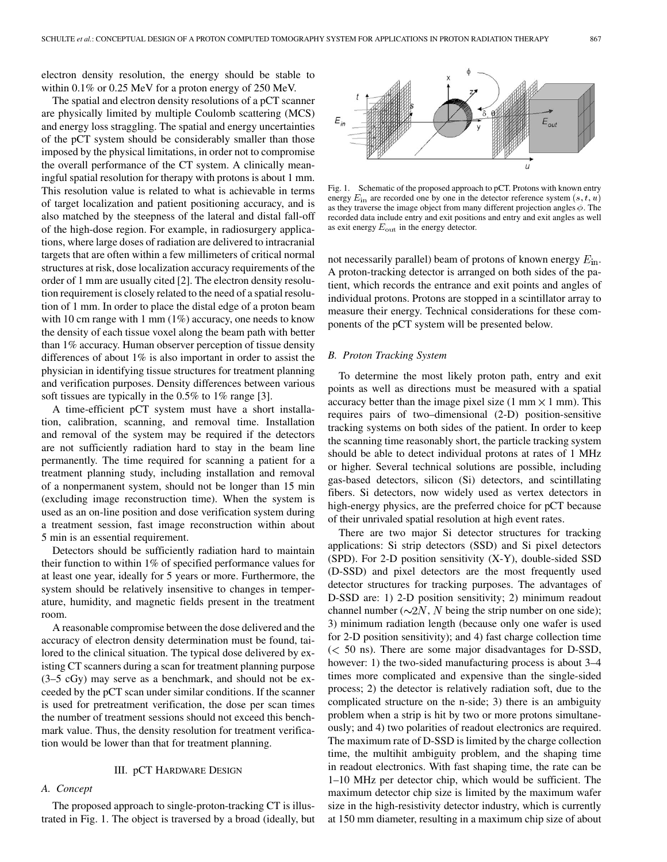electron density resolution, the energy should be stable to within 0.1% or 0.25 MeV for a proton energy of 250 MeV.

The spatial and electron density resolutions of a pCT scanner are physically limited by multiple Coulomb scattering (MCS) and energy loss straggling. The spatial and energy uncertainties of the pCT system should be considerably smaller than those imposed by the physical limitations, in order not to compromise the overall performance of the CT system. A clinically meaningful spatial resolution for therapy with protons is about 1 mm. This resolution value is related to what is achievable in terms of target localization and patient positioning accuracy, and is also matched by the steepness of the lateral and distal fall-off of the high-dose region. For example, in radiosurgery applications, where large doses of radiation are delivered to intracranial targets that are often within a few millimeters of critical normal structures at risk, dose localization accuracy requirements of the order of 1 mm are usually cited [\[2](#page-6-0)]. The electron density resolution requirement is closely related to the need of a spatial resolution of 1 mm. In order to place the distal edge of a proton beam with 10 cm range with 1 mm (1%) accuracy, one needs to know the density of each tissue voxel along the beam path with better than 1% accuracy. Human observer perception of tissue density differences of about 1% is also important in order to assist the physician in identifying tissue structures for treatment planning and verification purposes. Density differences between various soft tissues are typically in the 0.5% to 1% range [[3\]](#page-6-0).

A time-efficient pCT system must have a short installation, calibration, scanning, and removal time. Installation and removal of the system may be required if the detectors are not sufficiently radiation hard to stay in the beam line permanently. The time required for scanning a patient for a treatment planning study, including installation and removal of a nonpermanent system, should not be longer than 15 min (excluding image reconstruction time). When the system is used as an on-line position and dose verification system during a treatment session, fast image reconstruction within about 5 min is an essential requirement.

Detectors should be sufficiently radiation hard to maintain their function to within 1% of specified performance values for at least one year, ideally for 5 years or more. Furthermore, the system should be relatively insensitive to changes in temperature, humidity, and magnetic fields present in the treatment room.

A reasonable compromise between the dose delivered and the accuracy of electron density determination must be found, tailored to the clinical situation. The typical dose delivered by existing CT scanners during a scan for treatment planning purpose (3–5 cGy) may serve as a benchmark, and should not be exceeded by the pCT scan under similar conditions. If the scanner is used for pretreatment verification, the dose per scan times the number of treatment sessions should not exceed this benchmark value. Thus, the density resolution for treatment verification would be lower than that for treatment planning.

## III. pCT HARDWARE DESIGN

## *A. Concept*

The proposed approach to single-proton-tracking CT is illustrated in Fig. 1. The object is traversed by a broad (ideally, but



Fig. 1. Schematic of the proposed approach to pCT. Protons with known entry energy  $E_{\text{in}}$  are recorded one by one in the detector reference system  $(s, t, u)$ as they traverse the image object from many different projection angles  $\phi$ . The recorded data include entry and exit positions and entry and exit angles as well as exit energy  $E_{\text{out}}$  in the energy detector.

not necessarily parallel) beam of protons of known energy  $E_{\text{in}}$ . A proton-tracking detector is arranged on both sides of the patient, which records the entrance and exit points and angles of individual protons. Protons are stopped in a scintillator array to measure their energy. Technical considerations for these components of the pCT system will be presented below.

#### *B. Proton Tracking System*

To determine the most likely proton path, entry and exit points as well as directions must be measured with a spatial accuracy better than the image pixel size (1 mm  $\times$  1 mm). This requires pairs of two–dimensional (2-D) position-sensitive tracking systems on both sides of the patient. In order to keep the scanning time reasonably short, the particle tracking system should be able to detect individual protons at rates of 1 MHz or higher. Several technical solutions are possible, including gas-based detectors, silicon (Si) detectors, and scintillating fibers. Si detectors, now widely used as vertex detectors in high-energy physics, are the preferred choice for pCT because of their unrivaled spatial resolution at high event rates.

There are two major Si detector structures for tracking applications: Si strip detectors (SSD) and Si pixel detectors (SPD). For 2-D position sensitivity (X-Y), double-sided SSD (D-SSD) and pixel detectors are the most frequently used detector structures for tracking purposes. The advantages of D-SSD are: 1) 2-D position sensitivity; 2) minimum readout channel number ( $\sim$ 2N, N being the strip number on one side); 3) minimum radiation length (because only one wafer is used for 2-D position sensitivity); and 4) fast charge collection time  $(< 50$  ns). There are some major disadvantages for D-SSD, however: 1) the two-sided manufacturing process is about 3–4 times more complicated and expensive than the single-sided process; 2) the detector is relatively radiation soft, due to the complicated structure on the n-side; 3) there is an ambiguity problem when a strip is hit by two or more protons simultaneously; and 4) two polarities of readout electronics are required. The maximum rate of D-SSD is limited by the charge collection time, the multihit ambiguity problem, and the shaping time in readout electronics. With fast shaping time, the rate can be 1–10 MHz per detector chip, which would be sufficient. The maximum detector chip size is limited by the maximum wafer size in the high-resistivity detector industry, which is currently at 150 mm diameter, resulting in a maximum chip size of about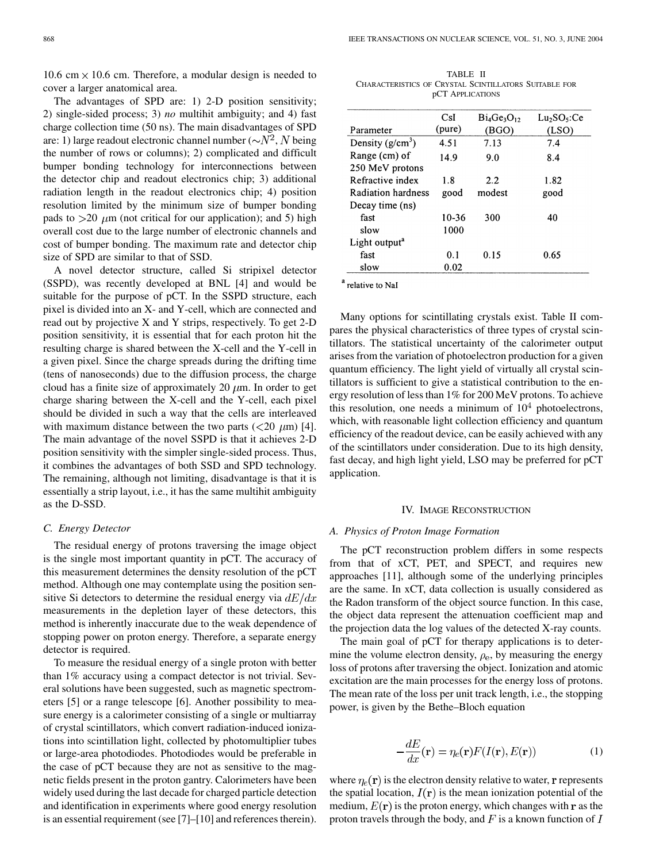10.6 cm  $\times$  10.6 cm. Therefore, a modular design is needed to cover a larger anatomical area.

The advantages of SPD are: 1) 2-D position sensitivity; 2) single-sided process; 3) *no* multihit ambiguity; and 4) fast charge collection time (50 ns). The main disadvantages of SPD are: 1) large readout electronic channel number ( $\sim N^2$ , N being the number of rows or columns); 2) complicated and difficult bumper bonding technology for interconnections between the detector chip and readout electronics chip; 3) additional radiation length in the readout electronics chip; 4) position resolution limited by the minimum size of bumper bonding pads to  $>20 \mu$ m (not critical for our application); and 5) high overall cost due to the large number of electronic channels and cost of bumper bonding. The maximum rate and detector chip size of SPD are similar to that of SSD.

A novel detector structure, called Si stripixel detector (SSPD), was recently developed at BNL [\[4](#page-6-0)] and would be suitable for the purpose of pCT. In the SSPD structure, each pixel is divided into an X- and Y-cell, which are connected and read out by projective X and Y strips, respectively. To get 2-D position sensitivity, it is essential that for each proton hit the resulting charge is shared between the X-cell and the Y-cell in a given pixel. Since the charge spreads during the drifting time (tens of nanoseconds) due to the diffusion process, the charge cloud has a finite size of approximately 20  $\mu$ m. In order to get charge sharing between the X-cell and the Y-cell, each pixel should be divided in such a way that the cells are interleaved with maximum distance between the two parts  $(<20 \mu m)$  [[4\]](#page-6-0). The main advantage of the novel SSPD is that it achieves 2-D position sensitivity with the simpler single-sided process. Thus, it combines the advantages of both SSD and SPD technology. The remaining, although not limiting, disadvantage is that it is essentially a strip layout, i.e., it has the same multihit ambiguity as the D-SSD.

#### *C. Energy Detector*

The residual energy of protons traversing the image object is the single most important quantity in pCT. The accuracy of this measurement determines the density resolution of the pCT method. Although one may contemplate using the position sensitive Si detectors to determine the residual energy via  $dE/dx$ measurements in the depletion layer of these detectors, this method is inherently inaccurate due to the weak dependence of stopping power on proton energy. Therefore, a separate energy detector is required.

To measure the residual energy of a single proton with better than 1% accuracy using a compact detector is not trivial. Several solutions have been suggested, such as magnetic spectrometers [[5\]](#page-6-0) or a range telescope [[6\]](#page-6-0). Another possibility to measure energy is a calorimeter consisting of a single or multiarray of crystal scintillators, which convert radiation-induced ionizations into scintillation light, collected by photomultiplier tubes or large-area photodiodes. Photodiodes would be preferable in the case of pCT because they are not as sensitive to the magnetic fields present in the proton gantry. Calorimeters have been widely used during the last decade for charged particle detection and identification in experiments where good energy resolution is an essential requirement (see [[7\]](#page-6-0)–[\[10](#page-6-0)] and references therein).

TABLE II CHARACTERISTICS OF CRYSTAL SCINTILLATORS SUITABLE FOR pCT APPLICATIONS

|                           | CsI       |                  |                                     |
|---------------------------|-----------|------------------|-------------------------------------|
|                           |           | $Bi_4Ge_3O_{12}$ | Lu <sub>2</sub> SO <sub>5</sub> :Ce |
| Parameter                 | (pure)    | (BGO)            | (LSO)                               |
| Density $(g/cm^3)$        | 4.51      | 7.13             | 7.4                                 |
| Range (cm) of             | 14.9      | 9.0              | 8.4                                 |
| 250 MeV protons           |           |                  |                                     |
| Refractive index          | 1.8       | 2.2              | 1.82                                |
| Radiation hardness        | good      | modest           | good                                |
| Decay time (ns)           |           |                  |                                     |
| fast                      | $10 - 36$ | 300              | 40                                  |
| slow                      | 1000      |                  |                                     |
| Light output <sup>a</sup> |           |                  |                                     |
| fast                      | 0.1       | 0.15             | 0.65                                |
| slow                      | 0.02      |                  |                                     |
|                           |           |                  |                                     |

<sup>a</sup> relative to Nal

Many options for scintillating crystals exist. Table II compares the physical characteristics of three types of crystal scintillators. The statistical uncertainty of the calorimeter output arises from the variation of photoelectron production for a given quantum efficiency. The light yield of virtually all crystal scintillators is sufficient to give a statistical contribution to the energy resolution of less than 1% for 200 MeV protons. To achieve this resolution, one needs a minimum of  $10<sup>4</sup>$  photoelectrons, which, with reasonable light collection efficiency and quantum efficiency of the readout device, can be easily achieved with any of the scintillators under consideration. Due to its high density, fast decay, and high light yield, LSO may be preferred for pCT application.

#### IV. IMAGE RECONSTRUCTION

# *A. Physics of Proton Image Formation*

The pCT reconstruction problem differs in some respects from that of xCT, PET, and SPECT, and requires new approaches [[11\]](#page-6-0), although some of the underlying principles are the same. In xCT, data collection is usually considered as the Radon transform of the object source function. In this case, the object data represent the attenuation coefficient map and the projection data the log values of the detected X-ray counts.

The main goal of pCT for therapy applications is to determine the volume electron density,  $\rho_e$ , by measuring the energy loss of protons after traversing the object. Ionization and atomic excitation are the main processes for the energy loss of protons. The mean rate of the loss per unit track length, i.e., the stopping power, is given by the Bethe–Bloch equation

$$
-\frac{dE}{dx}(\mathbf{r}) = \eta_e(\mathbf{r}) F(I(\mathbf{r}), E(\mathbf{r}))
$$
\n(1)

where  $\eta_e(\mathbf{r})$  is the electron density relative to water, **r** represents the spatial location,  $I(\mathbf{r})$  is the mean ionization potential of the medium,  $E(\mathbf{r})$  is the proton energy, which changes with  $\mathbf{r}$  as the proton travels through the body, and  $F$  is a known function of  $I$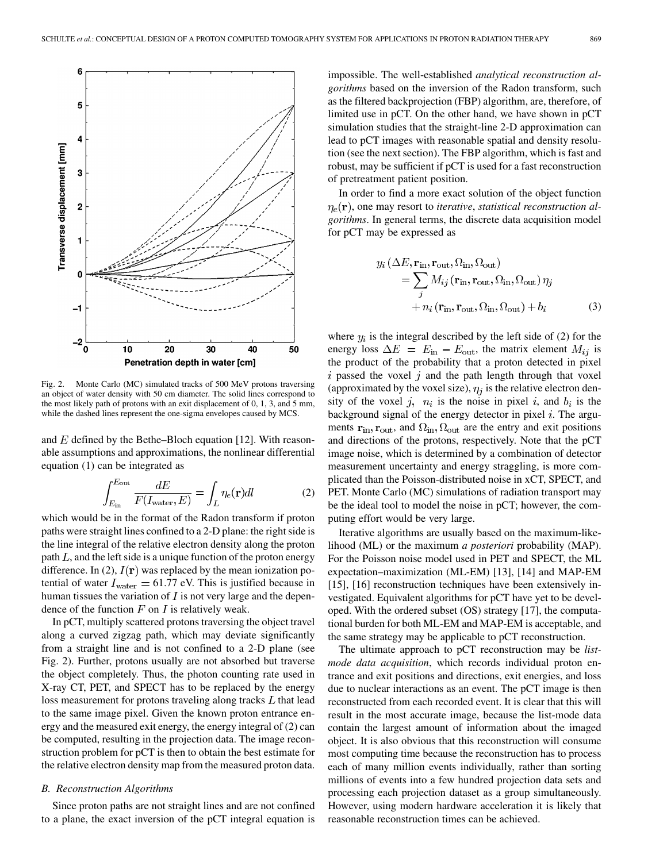

Fig. 2. Monte Carlo (MC) simulated tracks of 500 MeV protons traversing an object of water density with 50 cm diameter. The solid lines correspond to the most likely path of protons with an exit displacement of 0, 1, 3, and 5 mm, while the dashed lines represent the one-sigma envelopes caused by MCS.

and  $E$  defined by the Bethe–Bloch equation [[12\]](#page-6-0). With reasonable assumptions and approximations, the nonlinear differential equation (1) can be integrated as

$$
\int_{E_{\rm in}}^{E_{\rm out}} \frac{dE}{F(I_{\rm water}, E)} = \int_{L} \eta_e(\mathbf{r}) dl \tag{2}
$$

which would be in the format of the Radon transform if proton paths were straight lines confined to a 2-D plane: the right side is the line integral of the relative electron density along the proton path  $L$ , and the left side is a unique function of the proton energy difference. In (2),  $I(\mathbf{r})$  was replaced by the mean ionization potential of water  $I_{\text{water}} = 61.77 \text{ eV}$ . This is justified because in human tissues the variation of  $I$  is not very large and the dependence of the function  $F$  on  $I$  is relatively weak.

In pCT, multiply scattered protons traversing the object travel along a curved zigzag path, which may deviate significantly from a straight line and is not confined to a 2-D plane (see Fig. 2). Further, protons usually are not absorbed but traverse the object completely. Thus, the photon counting rate used in X-ray CT, PET, and SPECT has to be replaced by the energy loss measurement for protons traveling along tracks  $L$  that lead to the same image pixel. Given the known proton entrance energy and the measured exit energy, the energy integral of (2) can be computed, resulting in the projection data. The image reconstruction problem for pCT is then to obtain the best estimate for the relative electron density map from the measured proton data.

#### *B. Reconstruction Algorithms*

Since proton paths are not straight lines and are not confined to a plane, the exact inversion of the pCT integral equation is impossible. The well-established *analytical reconstruction algorithms* based on the inversion of the Radon transform, such as the filtered backprojection (FBP) algorithm, are, therefore, of limited use in pCT. On the other hand, we have shown in pCT simulation studies that the straight-line 2-D approximation can lead to pCT images with reasonable spatial and density resolution (see the next section). The FBP algorithm, which is fast and robust, may be sufficient if pCT is used for a fast reconstruction of pretreatment patient position.

In order to find a more exact solution of the object function  $\eta_e(\mathbf{r})$ , one may resort to *iterative*, *statistical reconstruction algorithms*. In general terms, the discrete data acquisition model for pCT may be expressed as

$$
y_i \left(\Delta E, \mathbf{r}_{\text{in}}, \mathbf{r}_{\text{out}}, \Omega_{\text{in}}, \Omega_{\text{out}}\right)
$$
  
= 
$$
\sum_j M_{ij} \left(\mathbf{r}_{\text{in}}, \mathbf{r}_{\text{out}}, \Omega_{\text{in}}, \Omega_{\text{out}}\right) \eta_j
$$
  
+ 
$$
n_i \left(\mathbf{r}_{\text{in}}, \mathbf{r}_{\text{out}}, \Omega_{\text{in}}, \Omega_{\text{out}}\right) + b_i
$$
 (3)

where  $y_i$  is the integral described by the left side of (2) for the energy loss  $\Delta E = E_{\text{in}} - E_{\text{out}}$ , the matrix element  $M_{ij}$  is the product of the probability that a proton detected in pixel  $i$  passed the voxel  $j$  and the path length through that voxel (approximated by the voxel size),  $\eta_i$  is the relative electron density of the voxel j,  $n_i$  is the noise in pixel i, and  $b_i$  is the background signal of the energy detector in pixel  $i$ . The arguments  $\mathbf{r}_{\text{in}}, \mathbf{r}_{\text{out}}$ , and  $\Omega_{\text{in}}, \Omega_{\text{out}}$  are the entry and exit positions and directions of the protons, respectively. Note that the pCT image noise, which is determined by a combination of detector measurement uncertainty and energy straggling, is more complicated than the Poisson-distributed noise in xCT, SPECT, and PET. Monte Carlo (MC) simulations of radiation transport may be the ideal tool to model the noise in pCT; however, the computing effort would be very large.

Iterative algorithms are usually based on the maximum-likelihood (ML) or the maximum *a posteriori* probability (MAP). For the Poisson noise model used in PET and SPECT, the ML expectation–maximization (ML-EM) [\[13](#page-6-0)], [\[14](#page-6-0)] and MAP-EM [\[15](#page-6-0)], [[16\]](#page-6-0) reconstruction techniques have been extensively investigated. Equivalent algorithms for pCT have yet to be developed. With the ordered subset (OS) strategy [[17\]](#page-6-0), the computational burden for both ML-EM and MAP-EM is acceptable, and the same strategy may be applicable to pCT reconstruction.

The ultimate approach to pCT reconstruction may be *listmode data acquisition*, which records individual proton entrance and exit positions and directions, exit energies, and loss due to nuclear interactions as an event. The pCT image is then reconstructed from each recorded event. It is clear that this will result in the most accurate image, because the list-mode data contain the largest amount of information about the imaged object. It is also obvious that this reconstruction will consume most computing time because the reconstruction has to process each of many million events individually, rather than sorting millions of events into a few hundred projection data sets and processing each projection dataset as a group simultaneously. However, using modern hardware acceleration it is likely that reasonable reconstruction times can be achieved.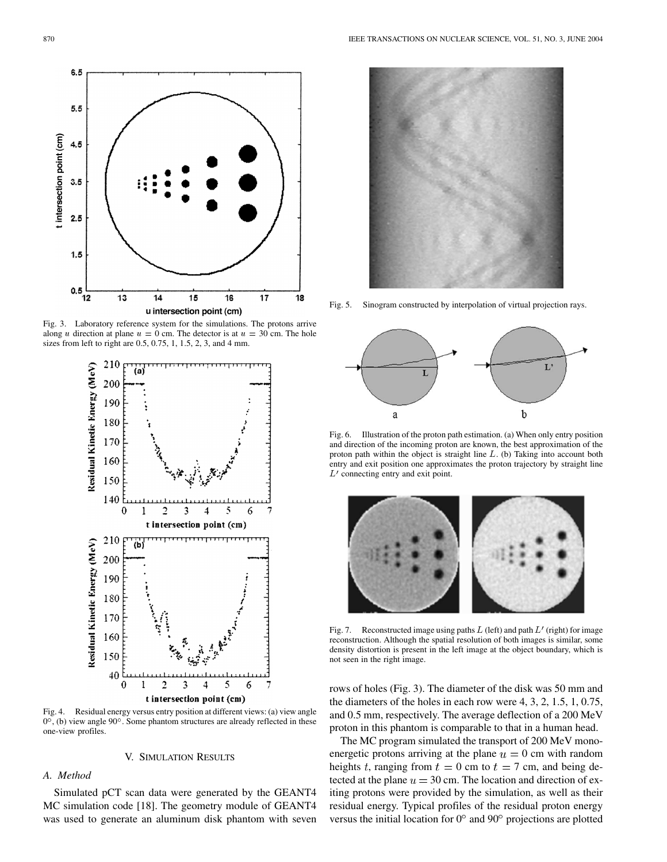

Fig. 3. Laboratory reference system for the simulations. The protons arrive along u direction at plane  $u = 0$  cm. The detector is at  $u = 30$  cm. The hole sizes from left to right are 0.5, 0.75, 1, 1.5, 2, 3, and 4 mm.



Fig. 4. Residual energy versus entry position at different views: (a) view angle  $0^{\circ}$ , (b) view angle  $90^{\circ}$ . Some phantom structures are already reflected in these one-view profiles.

#### V. SIMULATION RESULTS

## *A. Method*

Simulated pCT scan data were generated by the GEANT4 MC simulation code [[18\]](#page-6-0). The geometry module of GEANT4 was used to generate an aluminum disk phantom with seven



Fig. 5. Sinogram constructed by interpolation of virtual projection rays.



Fig. 6. Illustration of the proton path estimation. (a) When only entry position and direction of the incoming proton are known, the best approximation of the proton path within the object is straight line L. (b) Taking into account both entry and exit position one approximates the proton trajectory by straight line  $L'$  connecting entry and exit point.



Fig. 7. Reconstructed image using paths  $L$  (left) and path  $L'$  (right) for image reconstruction. Although the spatial resolution of both images is similar, some density distortion is present in the left image at the object boundary, which is not seen in the right image.

rows of holes (Fig. 3). The diameter of the disk was 50 mm and the diameters of the holes in each row were 4, 3, 2, 1.5, 1, 0.75, and 0.5 mm, respectively. The average deflection of a 200 MeV proton in this phantom is comparable to that in a human head.

The MC program simulated the transport of 200 MeV monoenergetic protons arriving at the plane  $u = 0$  cm with random heights t, ranging from  $t = 0$  cm to  $t = 7$  cm, and being detected at the plane  $u = 30$  cm. The location and direction of exiting protons were provided by the simulation, as well as their residual energy. Typical profiles of the residual proton energy versus the initial location for  $0^{\circ}$  and  $90^{\circ}$  projections are plotted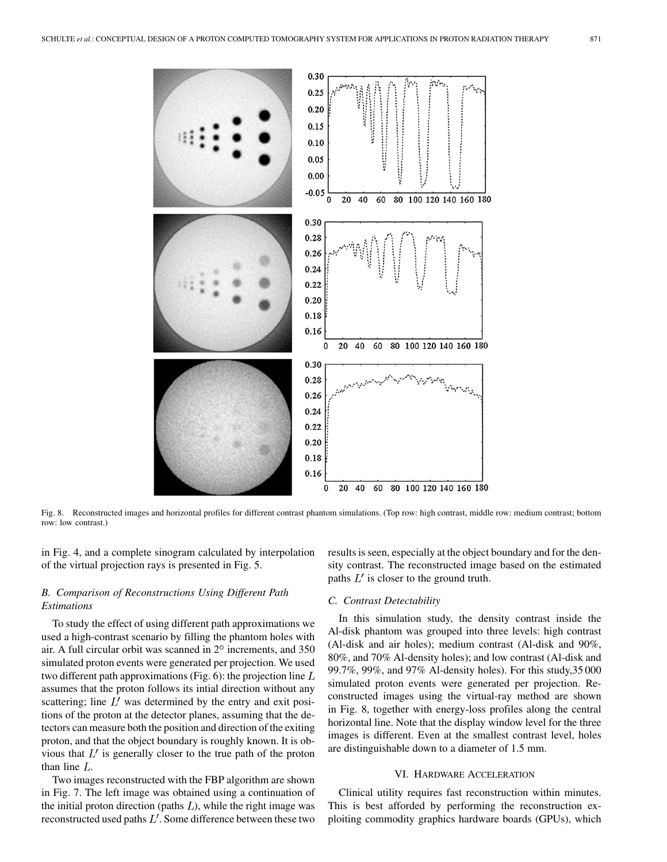

Fig. 8. Reconstructed images and horizontal profiles for different contrast phantom simulations. (Top row: high contrast, middle row: medium contrast; bottom row: low contrast.)

in Fig. 4, and a complete sinogram calculated by interpolation of the virtual projection rays is presented in Fig. 5.

# *B. Comparison of Reconstructions Using Different Path Estimations*

To study the effect of using different path approximations we used a high-contrast scenario by filling the phantom holes with air. A full circular orbit was scanned in  $2^\circ$  increments, and 350 simulated proton events were generated per projection. We used two different path approximations (Fig. 6): the projection line  $L$ assumes that the proton follows its intial direction without any scattering; line  $L'$  was determined by the entry and exit positions of the proton at the detector planes, assuming that the detectors can measure both the position and direction of the exiting proton, and that the object boundary is roughly known. It is obvious that  $L'$  is generally closer to the true path of the proton than line  $L$ .

Two images reconstructed with the FBP algorithm are shown in Fig. 7. The left image was obtained using a continuation of the initial proton direction (paths  $L$ ), while the right image was reconstructed used paths  $L'$ . Some difference between these two

results is seen, especially at the object boundary and for the density contrast. The reconstructed image based on the estimated paths  $L'$  is closer to the ground truth.

#### *C. Contrast Detectability*

In this simulation study, the density contrast inside the Al-disk phantom was grouped into three levels: high contrast (Al-disk and air holes); medium contrast (Al-disk and 90%, 80%, and 70% Al-density holes); and low contrast (Al-disk and 99.7%, 99%, and 97% Al-density holes). For this study,35 000 simulated proton events were generated per projection. Reconstructed images using the virtual-ray method are shown in Fig. 8, together with energy-loss profiles along the central horizontal line. Note that the display window level for the three images is different. Even at the smallest contrast level, holes are distinguishable down to a diameter of 1.5 mm.

#### VI. HARDWARE ACCELERATION

Clinical utility requires fast reconstruction within minutes. This is best afforded by performing the reconstruction exploiting commodity graphics hardware boards (GPUs), which